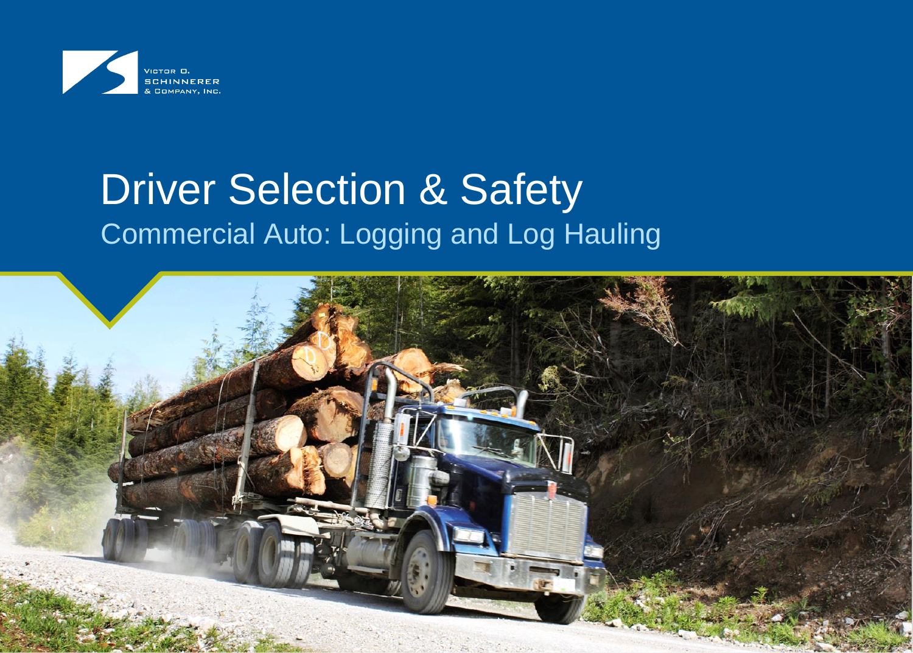

# **Driver Selection & Safety** Commercial Auto: Logging and Log Hauling

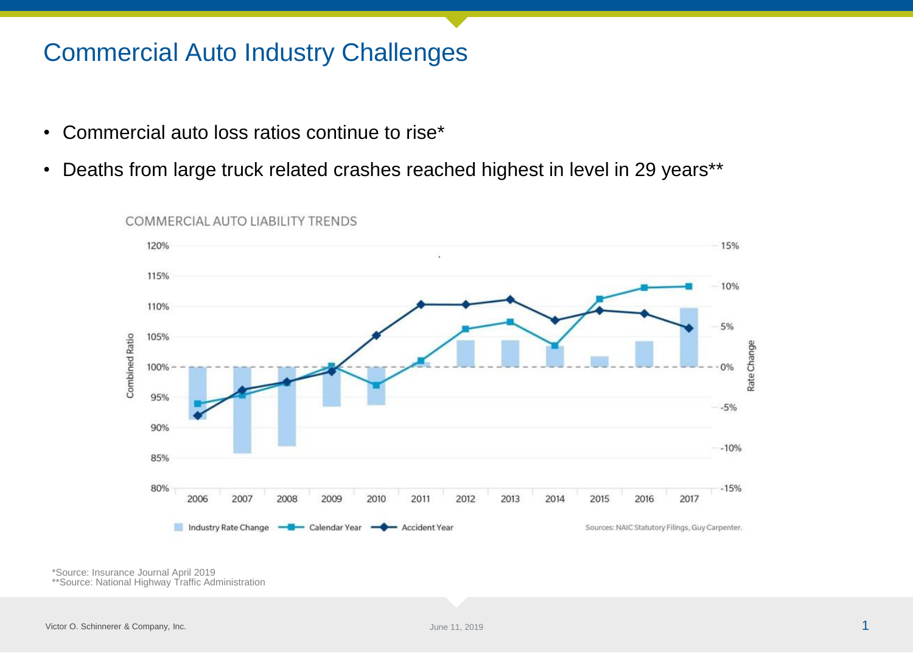### Commercial Auto Industry Challenges

- Commercial auto loss ratios continue to rise\*
- Deaths from large truck related crashes reached highest in level in 29 years\*\*



COMMERCIAL AUTO LIABILITY TRENDS

\*Source: Insurance Journal April 2019 \*\*Source: National Highway Traffic Administration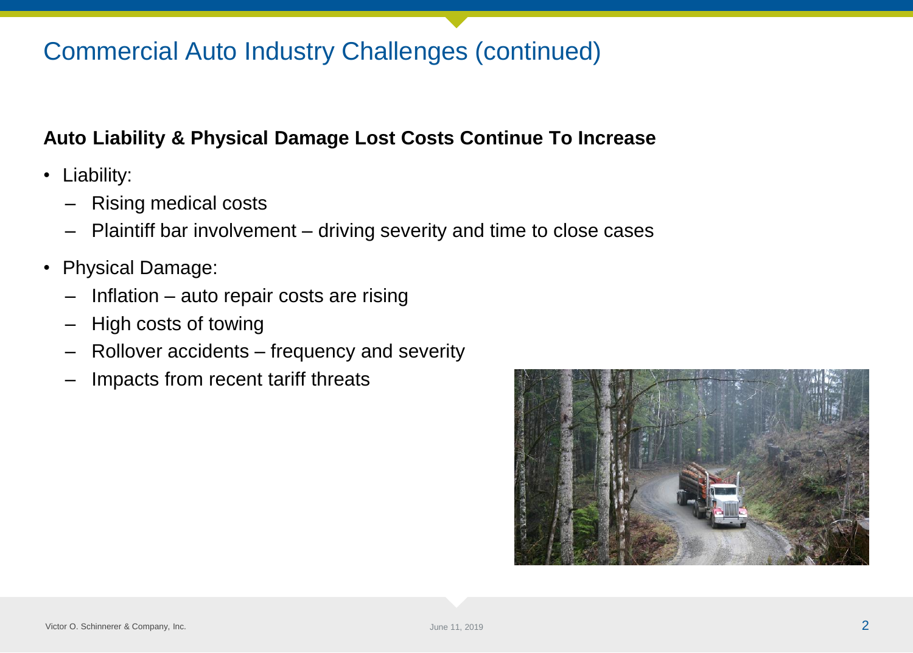# Commercial Auto Industry Challenges (continued)

### **Auto Liability & Physical Damage Lost Costs Continue To Increase**

- Liability:
	- Rising medical costs
	- Plaintiff bar involvement driving severity and time to close cases
- Physical Damage:
	- Inflation auto repair costs are rising
	- High costs of towing
	- Rollover accidents frequency and severity
	- Impacts from recent tariff threats

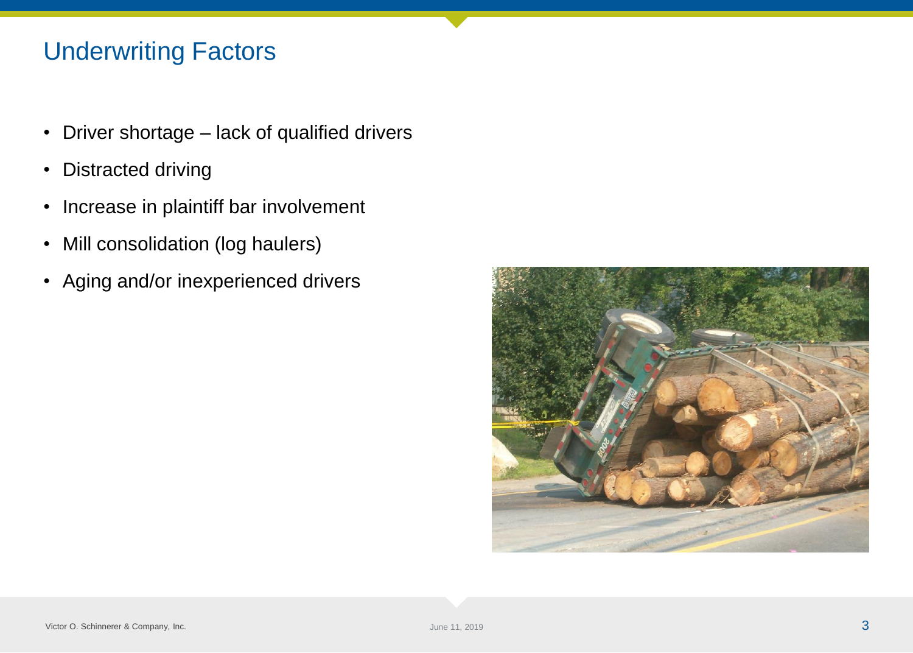# Underwriting Factors

- Driver shortage lack of qualified drivers
- Distracted driving
- Increase in plaintiff bar involvement
- Mill consolidation (log haulers)
- Aging and/or inexperienced drivers

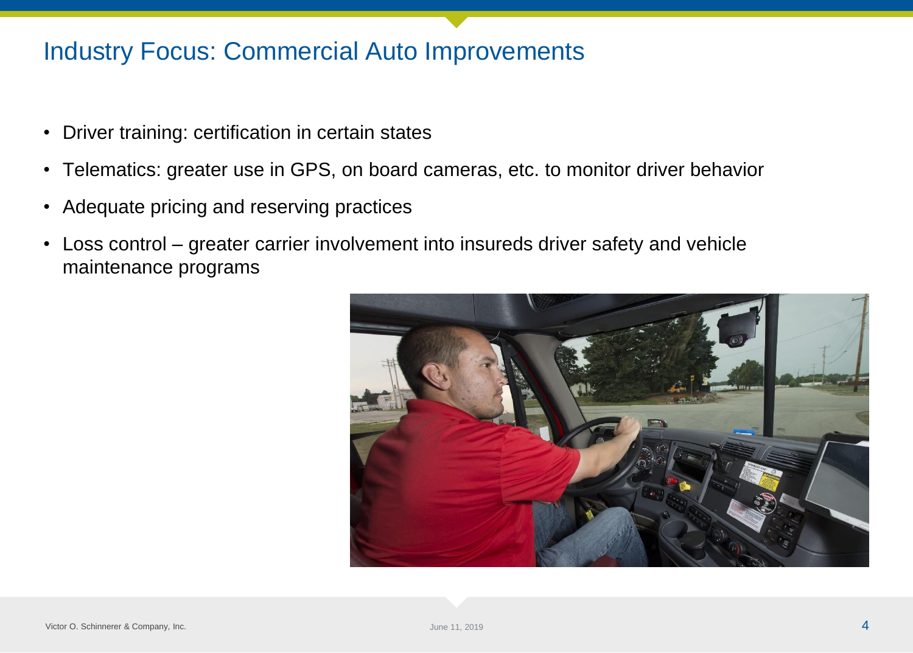### Industry Focus: Commercial Auto Improvements

- Driver training: certification in certain states
- Telematics: greater use in GPS, on board cameras, etc. to monitor driver behavior
- Adequate pricing and reserving practices
- Loss control greater carrier involvement into insureds driver safety and vehicle maintenance programs

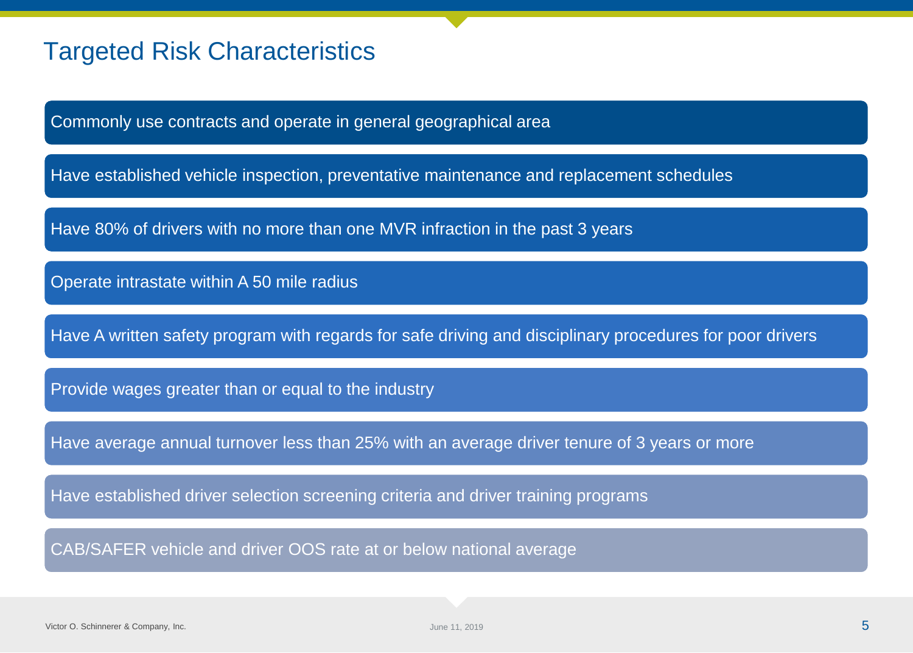### Targeted Risk Characteristics

Commonly use contracts and operate in general geographical area

Have established vehicle inspection, preventative maintenance and replacement schedules

Have 80% of drivers with no more than one MVR infraction in the past 3 years

Operate intrastate within A 50 mile radius

Have A written safety program with regards for safe driving and disciplinary procedures for poor drivers

Provide wages greater than or equal to the industry

Have average annual turnover less than 25% with an average driver tenure of 3 years or more

Have established driver selection screening criteria and driver training programs

CAB/SAFER vehicle and driver OOS rate at or below national average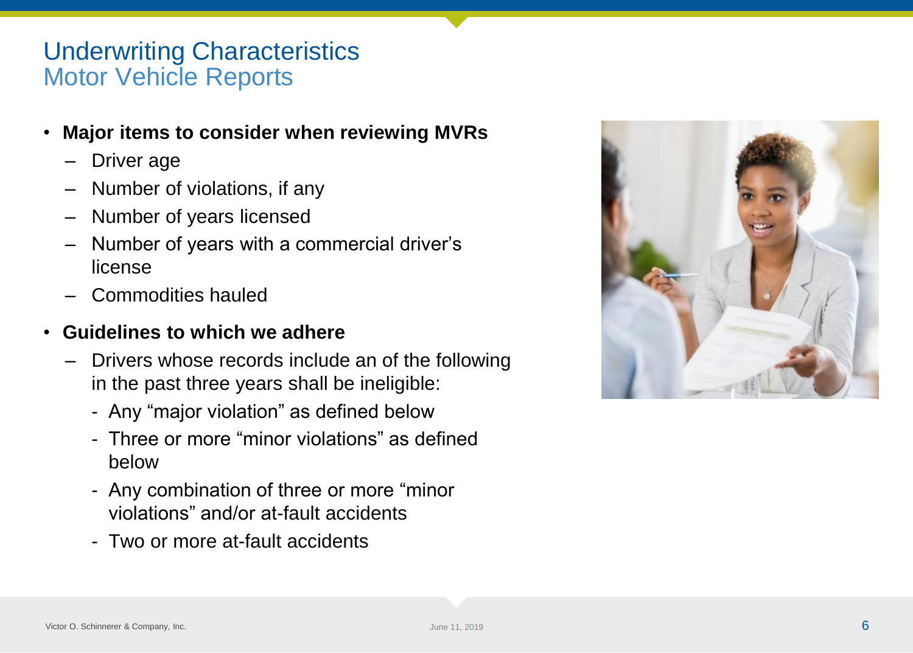### Underwriting Characteristics Motor Vehicle Reports

- **Major items to consider when reviewing MVRs**
	- Driver age
	- Number of violations, if any
	- Number of years licensed
	- Number of years with a commercial driver's license
	- Commodities hauled

#### • **Guidelines to which we adhere**

- Drivers whose records include an of the following in the past three years shall be ineligible:
	- Any "major violation" as defined below
	- Three or more "minor violations" as defined below
	- Any combination of three or more "minor violations" and/or at-fault accidents
	- Two or more at-fault accidents

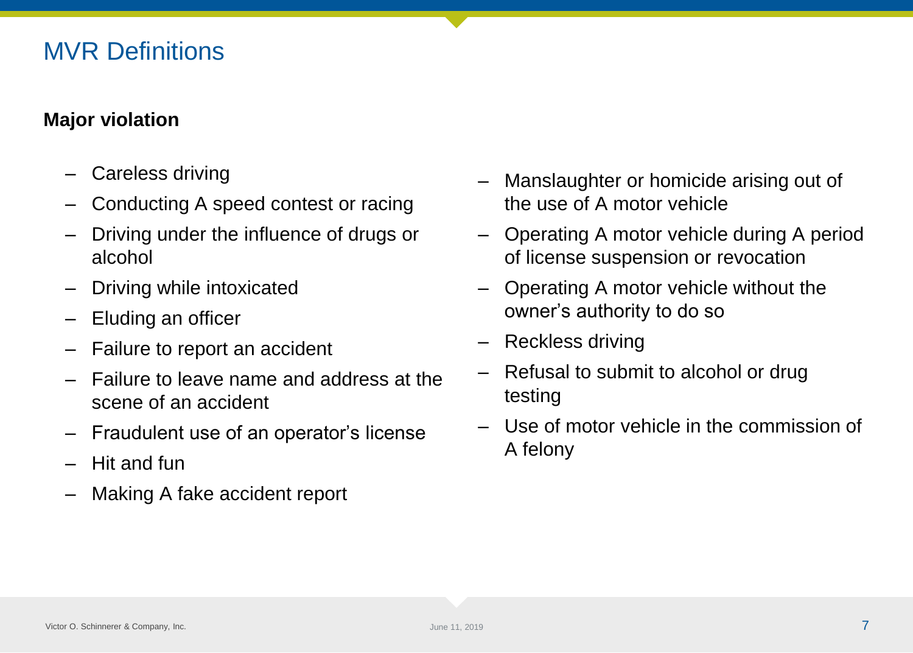### MVR Definitions

### **Major violation**

- Careless driving
- Conducting A speed contest or racing
- Driving under the influence of drugs or alcohol
- Driving while intoxicated
- Eluding an officer
- Failure to report an accident
- Failure to leave name and address at the scene of an accident
- Fraudulent use of an operator's license
- Hit and fun
- Making A fake accident report
- Manslaughter or homicide arising out of the use of A motor vehicle
- Operating A motor vehicle during A period of license suspension or revocation
- Operating A motor vehicle without the owner's authority to do so
- Reckless driving
- Refusal to submit to alcohol or drug testing
- Use of motor vehicle in the commission of A felony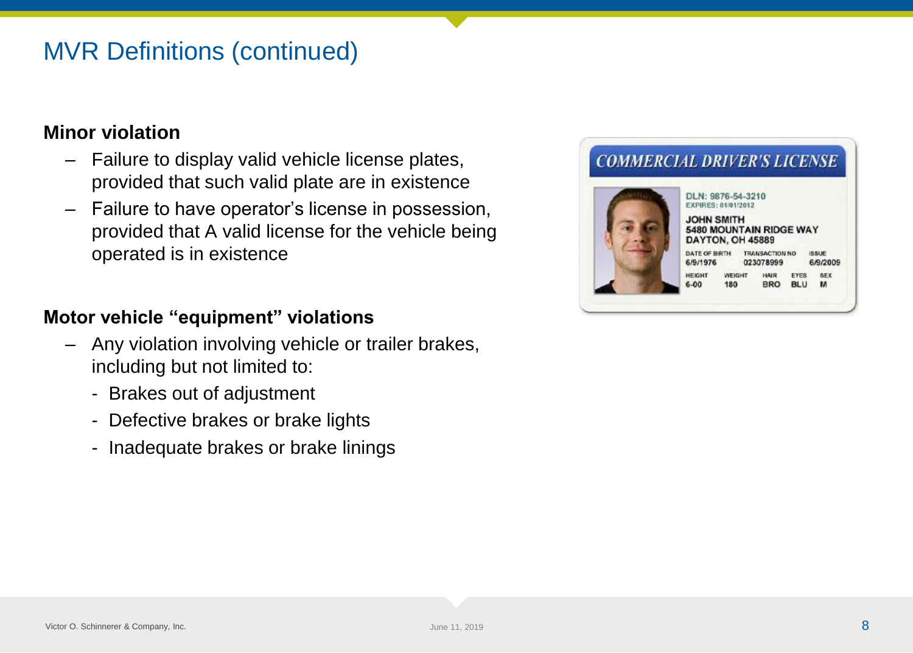# MVR Definitions (continued)

#### **Minor violation**

- Failure to display valid vehicle license plates, provided that such valid plate are in existence
- Failure to have operator's license in possession, provided that A valid license for the vehicle being operated is in existence

#### **Motor vehicle "equipment" violations**

- Any violation involving vehicle or trailer brakes, including but not limited to:
	- Brakes out of adjustment
	- Defective brakes or brake lights
	- Inadequate brakes or brake linings

#### **COMMERCIAL DRIVER'S LICENSE** DLN: 9876-54-3210 EXPIRES: 01/01/2012 **JOHN SMITH 5480 MOUNTAIN RIDGE WAY** DAYTON, OH 45889

DATE OF BIRTH TRANSACTION NO **ISSUE** 6/9/1976 023078999 6/9/2009 **HEIGHT** WEIGHT HAIR EYES SEX  $6 - 00$ 180 **BRO BLU** м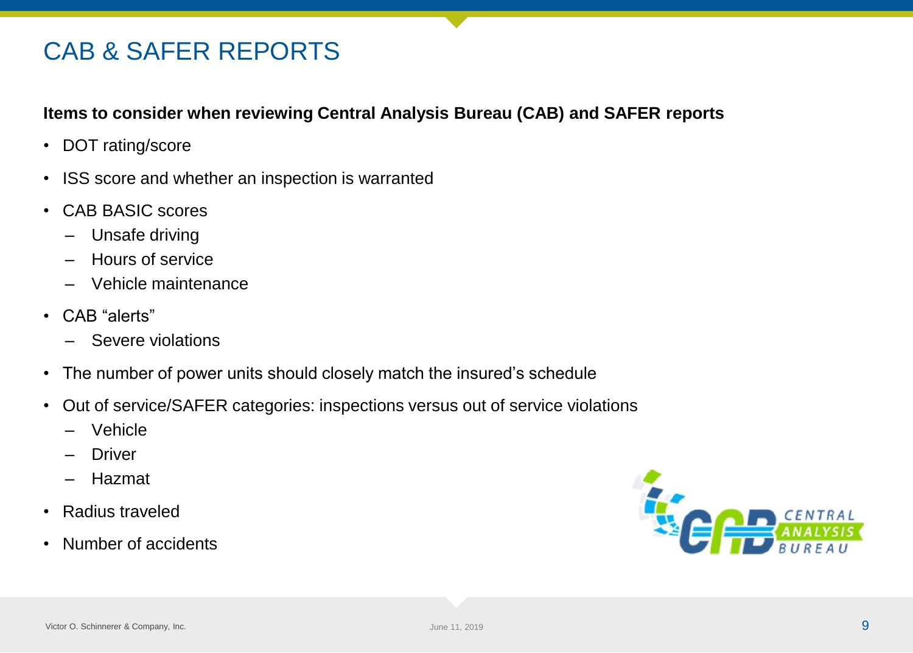# CAB & SAFER REPORTS

#### **Items to consider when reviewing Central Analysis Bureau (CAB) and SAFER reports**

- DOT rating/score
- ISS score and whether an inspection is warranted
- CAB BASIC scores
	- Unsafe driving
	- Hours of service
	- Vehicle maintenance
- CAB "alerts"
	- Severe violations
- The number of power units should closely match the insured's schedule
- Out of service/SAFER categories: inspections versus out of service violations
	- Vehicle
	- **Driver**
	- Hazmat
- Radius traveled
- Number of accidents

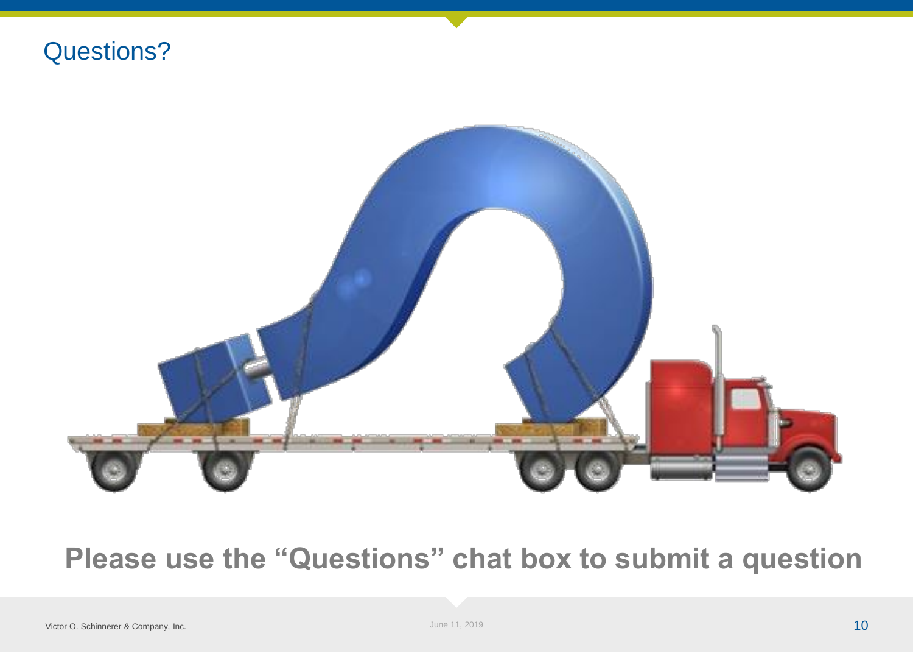



# **Please use the "Questions" chat box to submit a question**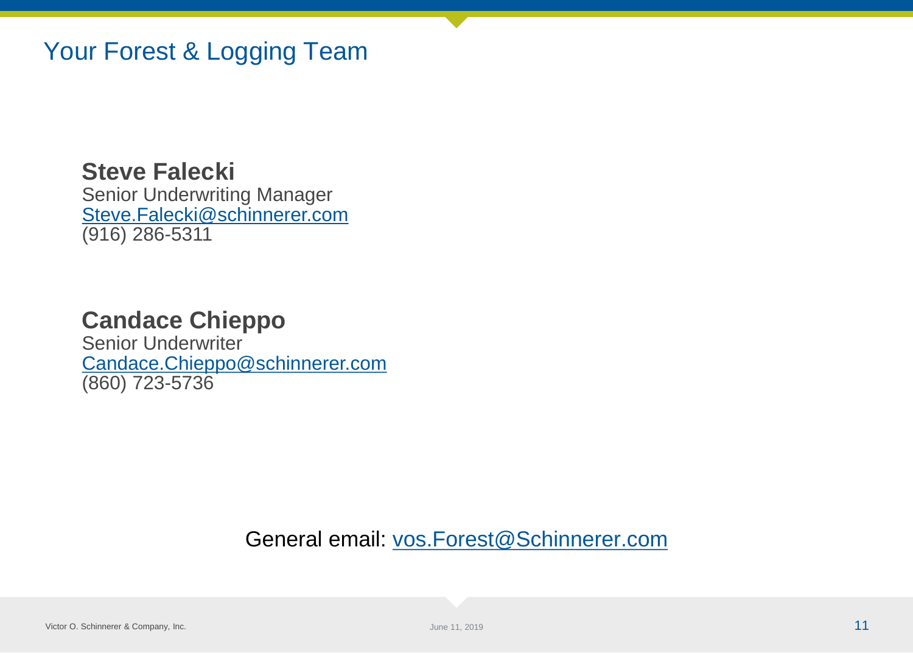### Your Forest & Logging Team

**Steve Falecki** Senior Underwriting Manager [Steve.Falecki@schinnerer.com](mailto:Steve.Falecki@schinnerer.com) (916) 286-5311

### **Candace Chieppo**

Senior Underwriter [Candace.Chieppo@schinnerer.com](mailto:Candace.Chieppo@schinnerer.com) (860) 723-5736

General email: [vos.Forest@Schinnerer.com](mailto:vos.Forest@Schinnerer.com)